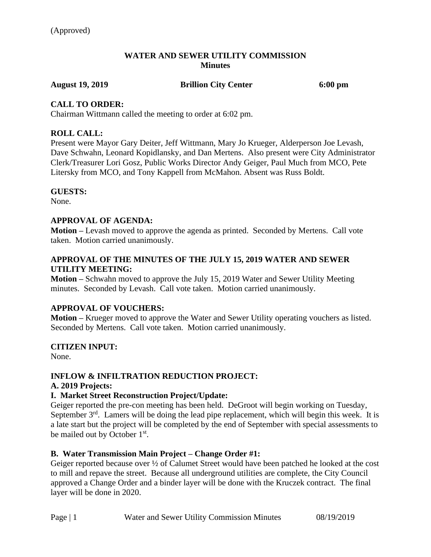#### **WATER AND SEWER UTILITY COMMISSION Minutes**

**August 19, 2019 Brillion City Center 6:00 pm**

## **CALL TO ORDER:**

Chairman Wittmann called the meeting to order at 6:02 pm.

## **ROLL CALL:**

Present were Mayor Gary Deiter, Jeff Wittmann, Mary Jo Krueger, Alderperson Joe Levash, Dave Schwahn, Leonard Kopidlansky, and Dan Mertens. Also present were City Administrator Clerk/Treasurer Lori Gosz, Public Works Director Andy Geiger, Paul Much from MCO, Pete Litersky from MCO, and Tony Kappell from McMahon. Absent was Russ Boldt.

## **GUESTS:**

None.

## **APPROVAL OF AGENDA:**

**Motion –** Levash moved to approve the agenda as printed. Seconded by Mertens. Call vote taken. Motion carried unanimously.

## **APPROVAL OF THE MINUTES OF THE JULY 15, 2019 WATER AND SEWER UTILITY MEETING:**

**Motion –** Schwahn moved to approve the July 15, 2019 Water and Sewer Utility Meeting minutes. Seconded by Levash. Call vote taken. Motion carried unanimously.

## **APPROVAL OF VOUCHERS:**

**Motion –** Krueger moved to approve the Water and Sewer Utility operating vouchers as listed. Seconded by Mertens. Call vote taken. Motion carried unanimously.

## **CITIZEN INPUT:**

None.

## **INFLOW & INFILTRATION REDUCTION PROJECT:**

#### **A. 2019 Projects:**

## **I. Market Street Reconstruction Project/Update:**

Geiger reported the pre-con meeting has been held. DeGroot will begin working on Tuesday, September  $3<sup>rd</sup>$ . Lamers will be doing the lead pipe replacement, which will begin this week. It is a late start but the project will be completed by the end of September with special assessments to be mailed out by October 1<sup>st</sup>.

## **B. Water Transmission Main Project – Change Order #1:**

Geiger reported because over ½ of Calumet Street would have been patched he looked at the cost to mill and repave the street. Because all underground utilities are complete, the City Council approved a Change Order and a binder layer will be done with the Kruczek contract. The final layer will be done in 2020.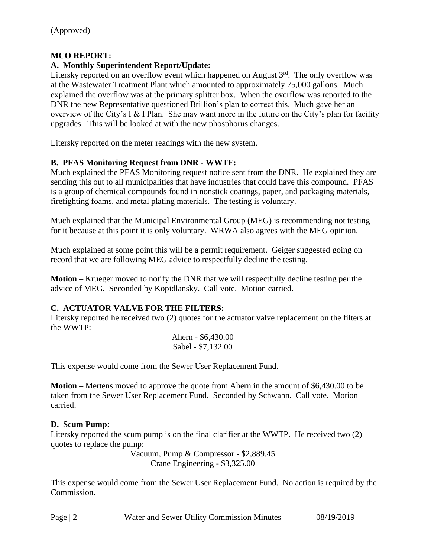## **MCO REPORT:**

## **A. Monthly Superintendent Report/Update:**

Litersky reported on an overflow event which happened on August  $3<sup>rd</sup>$ . The only overflow was at the Wastewater Treatment Plant which amounted to approximately 75,000 gallons. Much explained the overflow was at the primary splitter box. When the overflow was reported to the DNR the new Representative questioned Brillion's plan to correct this. Much gave her an overview of the City's I & I Plan. She may want more in the future on the City's plan for facility upgrades. This will be looked at with the new phosphorus changes.

Litersky reported on the meter readings with the new system.

## **B. PFAS Monitoring Request from DNR - WWTF:**

Much explained the PFAS Monitoring request notice sent from the DNR. He explained they are sending this out to all municipalities that have industries that could have this compound. PFAS is a group of chemical compounds found in nonstick coatings, paper, and packaging materials, firefighting foams, and metal plating materials. The testing is voluntary.

Much explained that the Municipal Environmental Group (MEG) is recommending not testing for it because at this point it is only voluntary. WRWA also agrees with the MEG opinion.

Much explained at some point this will be a permit requirement. Geiger suggested going on record that we are following MEG advice to respectfully decline the testing.

**Motion –** Krueger moved to notify the DNR that we will respectfully decline testing per the advice of MEG. Seconded by Kopidlansky. Call vote. Motion carried.

## **C. ACTUATOR VALVE FOR THE FILTERS:**

Litersky reported he received two (2) quotes for the actuator valve replacement on the filters at the WWTP:

Ahern - \$6,430.00 Sabel - \$7,132.00

This expense would come from the Sewer User Replacement Fund.

**Motion –** Mertens moved to approve the quote from Ahern in the amount of \$6,430.00 to be taken from the Sewer User Replacement Fund. Seconded by Schwahn. Call vote. Motion carried.

## **D. Scum Pump:**

Litersky reported the scum pump is on the final clarifier at the WWTP. He received two (2) quotes to replace the pump:

Vacuum, Pump & Compressor - \$2,889.45 Crane Engineering - \$3,325.00

This expense would come from the Sewer User Replacement Fund. No action is required by the Commission.

| Page $\mid$ 2 | Water and Sewer Utility Commission Minutes | 08/19/2019 |
|---------------|--------------------------------------------|------------|
|---------------|--------------------------------------------|------------|